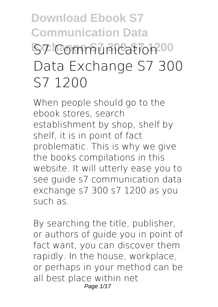# **Download Ebook S7 Communication Data Exchange S7 300 S7 1200 S7 Communication Data Exchange S7 300 S7 1200**

When people should go to the ebook stores, search establishment by shop, shelf by shelf, it is in point of fact problematic. This is why we give the books compilations in this website. It will utterly ease you to see guide **s7 communication data exchange s7 300 s7 1200** as you such as.

By searching the title, publisher, or authors of guide you in point of fact want, you can discover them rapidly. In the house, workplace, or perhaps in your method can be all best place within net Page 1/17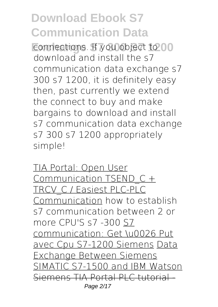**Example 2013** Exchange Strong Strong School Connections. If you object to 00 download and install the s7 communication data exchange s7 300 s7 1200, it is definitely easy then, past currently we extend the connect to buy and make bargains to download and install s7 communication data exchange s7 300 s7 1200 appropriately simple!

TIA Portal: Open User Communication TSEND\_C + TRCV\_C / Easiest PLC-PLC Communication **how to establish s7 communication between 2 or more CPU'S s7 -300** S7 communication: Get \u0026 Put avec Cpu S7-1200 Siemens Data Exchange Between Siemens SIMATIC S7-1500 and IBM Watson Siemens TIA Portal PLC tutorial Page 2/17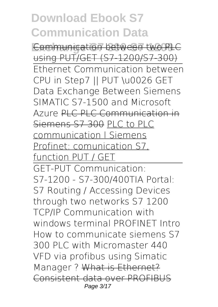**Communication between two PLC** using PUT/GET (S7-1200/S7-300) Ethernet Communication between CPU in Step7 || PUT \u0026 GET *Data Exchange Between Siemens SIMATIC S7-1500 and Microsoft Azure* PLC PLC Communication in Siemens S7 300 PLC to PLC communication l Siemens Profinet: comunication S7, function PUT / GET

GET-PUT Communication: S7-1200 - S7-300/400*TIA Portal: S7 Routing / Accessing Devices through two networks* **S7 1200 TCP/IP Communication with windows terminal** PROFINET Intro *How to communicate siemens S7 300 PLC with Micromaster 440 VFD via profibus using Simatic Manager ?* What is Ethernet? Consistent data over PROFIBUS Page 3/17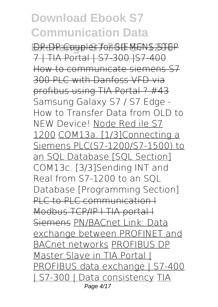**Exchange S7 300 S7 1200** DP-DP Coupler for SIEMENS STEP 7 | TIA Portal | S7-300 |S7-400 How to communicate siemens S7 300 PLC with Danfoss VFD via profibus using TIA Portal ? #43 Samsung Galaxy S7 / S7 Edge - How to Transfer Data from OLD to NEW Device! Node Red ile S7 1200 COM13a. [1/3]Connecting a Siemens PLC(S7-1200/S7-1500) to an SQL Database [SQL Section] **COM13c. [3/3]Sending INT and Real from S7-1200 to an SQL Database [Programming Section]** PLC to PLC communication  $\vdash$ Modbus TCP/IP l TIA portal l Siemens PN/BACnet Link: Data exchange between PROFINET and BACnet networks PROFIBUS DP Master Slave in TIA Portal | PROFIBUS data exchange | S7-400 | S7-300 | Data consistency TIA Page 4/17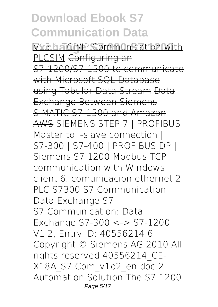**Exchange S7 300 S7 1200** V15.1 TCP/IP Communication with PLCSIM Configuring an S7-1200/S7-1500 to communicate with Microsoft SOL Database using Tabular Data Stream Data Exchange Between Siemens SIMATIC S7-1500 and Amazon AWS *SIEMENS STEP 7 | PROFIBUS Master to I-slave connection | S7-300 | S7-400 | PROFIBUS DP |* **Siemens S7 1200 Modbus TCP communication with Windows client** *6. comunicacion ethernet 2 PLC S7300* **S7 Communication Data Exchange S7** S7 Communication: Data Exchange S7-300 <-> S7-1200 V1.2, Entry ID: 40556214 6 Copyright © Siemens AG 2010 All rights reserved 40556214\_CE-X18A\_S7-Com\_v1d2\_en.doc 2 Automation Solution The S7-1200 Page 5/17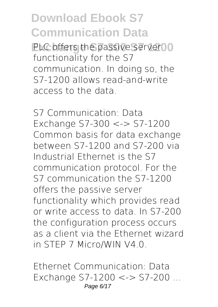**PLC offers the passive server 00** functionality for the S7 communication. In doing so, the S7-1200 allows read-and-write access to the data.

**S7 Communication: Data Exchange S7-300 <-> S7-1200** Common basis for data exchange between S7-1200 and S7-200 via Industrial Ethernet is the S7 communication protocol. For the S7 communication the S7-1200 offers the passive server functionality which provides read or write access to data. In S7-200 the configuration process occurs as a client via the Ethernet wizard in STEP 7 Micro/WIN V4.0.

**Ethernet Communication: Data Exchange S7-1200 <-> S7-200 ...** Page 6/17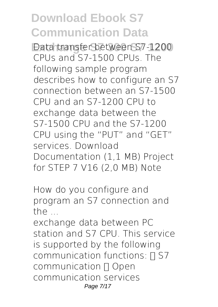**Exchange S7 300 S7 1200** Data transfer between S7-1200 CPUs and S7-1500 CPUs. The following sample program describes how to configure an S7 connection between an S7-1500 CPU and an S7-1200 CPU to exchange data between the S7-1500 CPU and the S7-1200 CPU using the "PUT" and "GET" services. Download Documentation (1,1 MB) Project for STEP 7 V16 (2,0 MB) Note

**How do you configure and program an S7 connection and the ...**

exchange data between PC station and S7 CPU. This service is supported by the following communication functions:  $\Box$  S7 communication  $\Box$  Open communication services Page 7/17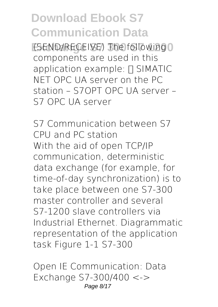**(SEND/RECEIVE) The following 0** components are used in this application example:  $\Pi$  SIMATIC NET OPC UA server on the PC station – S7OPT OPC UA server – S7 OPC UA server

**S7 Communication between S7 CPU and PC station** With the aid of open TCP/IP communication, deterministic data exchange (for example, for time-of-day synchronization) is to take place between one S7-300 master controller and several S7-1200 slave controllers via Industrial Ethernet. Diagrammatic representation of the application task Figure 1-1 S7-300

**Open IE Communication: Data Exchange S7-300/400 <->** Page 8/17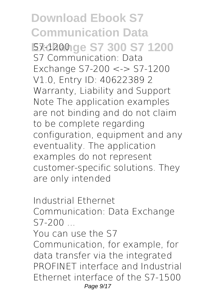**Download Ebook S7 Communication Data Exchange S7 300 S7 1200 S7-1200** S7 Communication: Data Exchange S7-200 <-> S7-1200 V1.0, Entry ID: 40622389 2 Warranty, Liability and Support Note The application examples are not binding and do not claim to be complete regarding configuration, equipment and any eventuality. The application examples do not represent customer-specific solutions. They are only intended

**Industrial Ethernet Communication: Data Exchange S7-200 ...**

You can use the S7

Communication, for example, for data transfer via the integrated PROFINET interface and Industrial Ethernet interface of the S7-1500 Page 9/17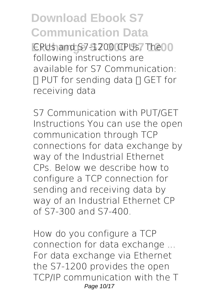EPUs and S7-1200 CPUs. The 10 following instructions are available for S7 Communication:  $\Box$  PUT for sending data  $\Pi$  GET for receiving data

**S7 Communication with PUT/GET** Instructions You can use the open communication through TCP connections for data exchange by way of the Industrial Ethernet CPs. Below we describe how to configure a TCP connection for sending and receiving data by way of an Industrial Ethernet CP of S7-300 and S7-400.

**How do you configure a TCP connection for data exchange ...** For data exchange via Ethernet the S7-1200 provides the open TCP/IP communication with the T Page 10/17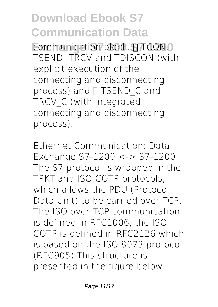**Example 2013** Example 3100 State State State State State State State State State State State State State State State State State State State State State State State State State State State State State State State State St TSEND, TRCV and TDISCON (with explicit execution of the connecting and disconnecting process) and [ TSEND C and TRCV\_C (with integrated connecting and disconnecting process).

**Ethernet Communication: Data Exchange S7-1200 <-> S7-1200** The S7 protocol is wrapped in the TPKT and ISO-COTP protocols, which allows the PDU (Protocol Data Unit) to be carried over TCP. The ISO over TCP communication is defined in RFC1006, the ISO-COTP is defined in RFC2126 which is based on the ISO 8073 protocol (RFC905).This structure is presented in the figure below.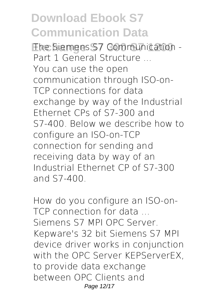**Exchange S7 300 S7 1200 The Siemens S7 Communication - Part 1 General Structure ...** You can use the open communication through ISO-on-TCP connections for data exchange by way of the Industrial Ethernet CPs of S7-300 and S7-400. Below we describe how to configure an ISO-on-TCP connection for sending and receiving data by way of an Industrial Ethernet CP of S7-300 and S7-400.

**How do you configure an ISO-on-TCP connection for data ...** Siemens S7 MPI OPC Server. Kepware's 32 bit Siemens S7 MPI device driver works in conjunction with the OPC Server KEPServerEX, to provide data exchange between OPC Clients and Page 12/17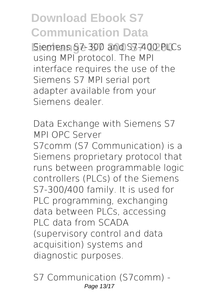**Exchange S7 300 S7 1200** Siemens S7-300 and S7-400 PLCs using MPI protocol. The MPI interface requires the use of the Siemens S7 MPI serial port adapter available from your Siemens dealer.

**Data Exchange with Siemens S7 MPI OPC Server** S7comm (S7 Communication) is a Siemens proprietary protocol that runs between programmable logic controllers (PLCs) of the Siemens S7-300/400 family. It is used for PLC programming, exchanging data between PLCs, accessing PLC data from SCADA (supervisory control and data acquisition) systems and diagnostic purposes.

**S7 Communication (S7comm) -** Page 13/17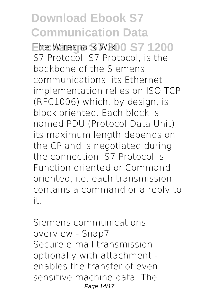**Ehe Wireshark Wiki<sup>0</sup> S7 1200** S7 Protocol. S7 Protocol, is the backbone of the Siemens communications, its Ethernet implementation relies on ISO TCP (RFC1006) which, by design, is block oriented. Each block is named PDU (Protocol Data Unit), its maximum length depends on the CP and is negotiated during the connection. S7 Protocol is Function oriented or Command oriented, i.e. each transmission contains a command or a reply to it.

**Siemens communications overview - Snap7** Secure e-mail transmission – optionally with attachment enables the transfer of even sensitive machine data. The Page 14/17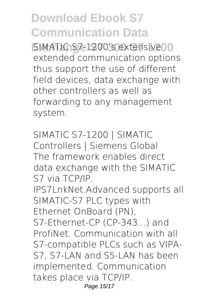**EXAMPLE S7-1200's extensive 10** extended communication options thus support the use of different field devices, data exchange with other controllers as well as forwarding to any management system.

**SIMATIC S7-1200 | SIMATIC Controllers | Siemens Global** The framework enables direct data exchange with the SIMATIC S7 via TCP/IP. IPS7LnkNet.Advanced supports all SIMATIC-S7 PLC types with Ethernet OnBoard (PN), S7-Ethernet-CP (CP-343...) and ProfiNet. Communication with all S7-compatible PLCs such as VIPA-S7, S7-LAN and S5-LAN has been implemented. Communication takes place via TCP/IP. Page 15/17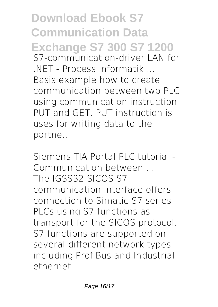**Download Ebook S7 Communication Data Exchange S7 300 S7 1200 S7-communication-driver LAN for .NET - Process Informatik ...** Basis example how to create communication between two PLC using communication instruction PUT and GET. PUT instruction is uses for writing data to the partne...

**Siemens TIA Portal PLC tutorial - Communication between ...** The IGSS32 SICOS S7 communication interface offers connection to Simatic S7 series PLCs using S7 functions as transport for the SICOS protocol. S7 functions are supported on several different network types including ProfiBus and Industrial ethernet.